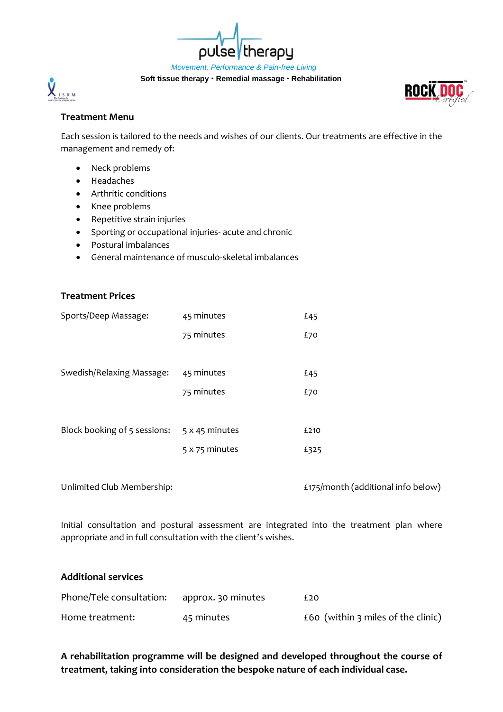*Movement, Performance & Pain-free Living*

therapy

**Soft tissue therapy Remedial massage Rehabilitation**

pulse

## **Treatment Menu**

 $\chi_{\rm LSRM}$ 

Each session is tailored to the needs and wishes of our clients. Our treatments are effective in the management and remedy of:

- Neck problems
- Headaches
- Arthritic conditions
- Knee problems
- Repetitive strain injuries
- Sporting or occupational injuries- acute and chronic
- Postural imbalances
- General maintenance of musculo-skeletal imbalances

## **Treatment Prices**

| Sports/Deep Massage:         | 45 minutes     | £45  |
|------------------------------|----------------|------|
|                              | 75 minutes     | £70  |
|                              |                |      |
| Swedish/Relaxing Massage:    | 45 minutes     | £45  |
|                              | 75 minutes     | £70  |
|                              |                |      |
| Block booking of 5 sessions: | 5 x 45 minutes | £210 |
|                              | 5 x 75 minutes | £325 |

Unlimited Club Membership: £175/month (additional info below)

Initial consultation and postural assessment are integrated into the treatment plan where appropriate and in full consultation with the client's wishes.

#### **Additional services**

| Phone/Tele consultation: | approx. 30 minutes | £20                                |
|--------------------------|--------------------|------------------------------------|
| Home treatment:          | 45 minutes         | £60 (within 3 miles of the clinic) |

## **A rehabilitation programme will be designed and developed throughout the course of treatment, taking into consideration the bespoke nature of each individual case.**